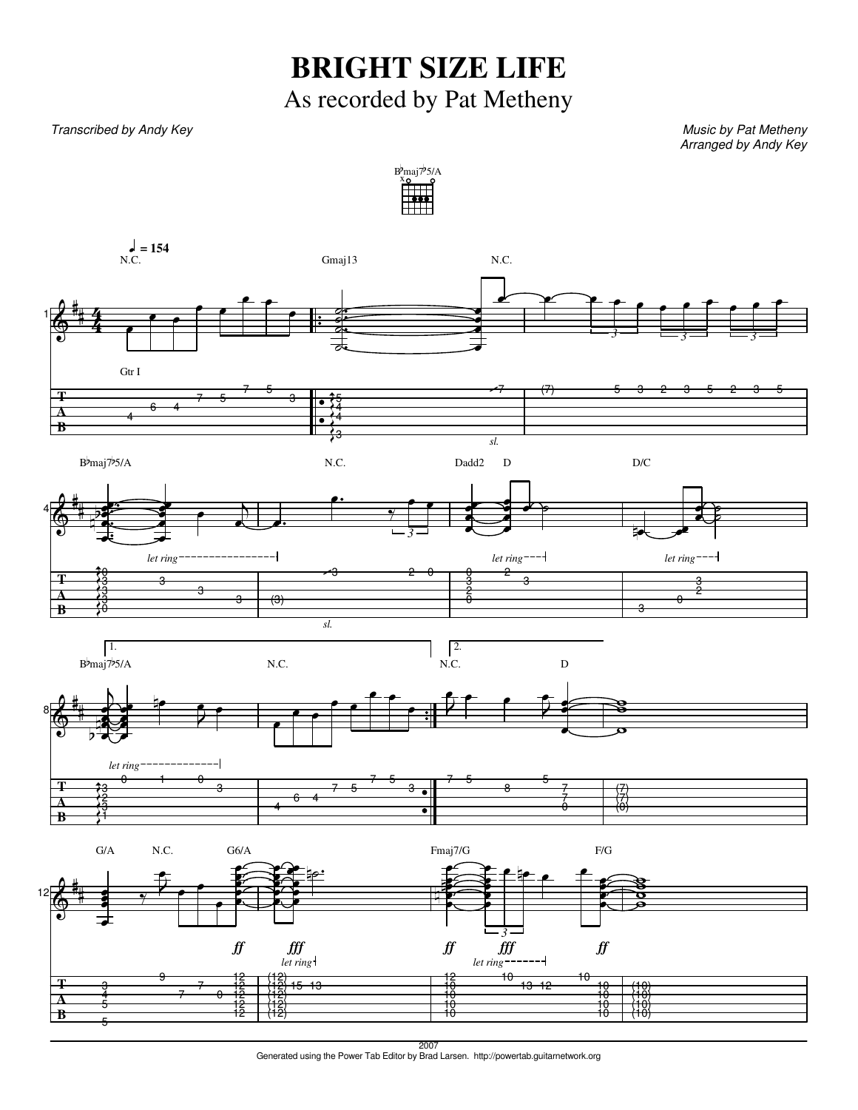## **BRIGHT SIZE LIFE** As recorded by Pat Metheny

## Transcribed by Andy Key Number of the Contract of the Music by Pat Metheny Music by Pat Metheny

Arranged by Andy Key



2007 Generated using the Power Tab Editor by Brad Larsen. http://powertab.guitarnetwork.org